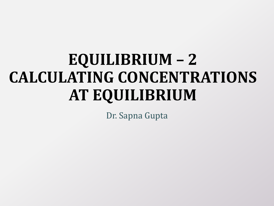# **EQUILIBRIUM – 2 CALCULATING CONCENTRATIONS AT EQUILIBRIUM**

Dr. Sapna Gupta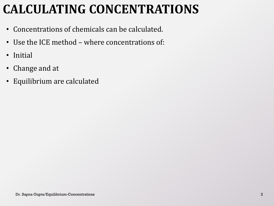## **CALCULATING CONCENTRATIONS**

- Concentrations of chemicals can be calculated.
- Use the ICE method where concentrations of:
- Initial
- Change and at
- Equilibrium are calculated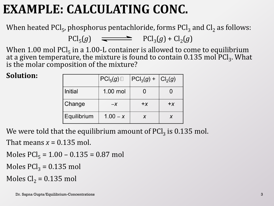### **EXAMPLE: CALCULATING CONC.**

When heated PCl<sub>5</sub>, phosphorus pentachloride, forms PCl<sub>3</sub> and Cl<sub>2</sub> as follows:

 $\text{PCl}_5(g)$   $\longrightarrow$   $\text{PCl}_3(g) + \text{Cl}_2(g)$ 

When 1.00 mol  $\text{PCl}_5$  in a 1.00-L container is allowed to come to equilibrium at a given temperature, the mixture is found to contain 0.135 mol PCl<sub>3</sub>. What is the molar composition of the mixture?

#### **Solution:**

|             | $PCI_5(g)$ | $ PCI_3(g) +  Cl_2(g) $ |       |
|-------------|------------|-------------------------|-------|
| Initial     | 1.00 mol   |                         |       |
| Change      | $-X$       | $+ x$                   | $+ x$ |
| Equilibrium | $1.00 - x$ |                         | X     |

We were told that the equilibrium amount of PCl $_3$  is 0.135 mol.

That means  $x = 0.135$  mol.

Moles  $PCl_5 = 1.00 - 0.135 = 0.87$  mol

Moles  $\text{PCl}_3 = 0.135$  mol

Moles  $Cl<sub>2</sub> = 0.135$  mol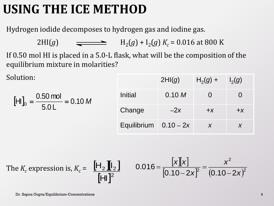### **USING THE ICE METHOD**

Hydrogen iodide decomposes to hydrogen gas and iodine gas.

2HI(*g*)  $\qquad \qquad \Longrightarrow \qquad H_2(g) + I_2(g) K_c = 0.016 \text{ at } 800 \text{ K}$ 

If 0.50 mol HI is placed in a 5.0-L flask, what will be the composition of the equilibrium mixture in molarities?

Solution:

$$
\text{[HII]}_0 = \frac{0.50 \text{ mol}}{5.0 \text{ L}} = 0.10 \text{ M}
$$

|                         | 2HI(g) | $H_2(g) +$        | $I_2(g)$ |
|-------------------------|--------|-------------------|----------|
| Initial                 | 0.10 M | $\mathbf{\Omega}$ |          |
| Change                  | $-2x$  | $+X$              | $+X$     |
| Equilibrium $0.10 - 2x$ |        | X                 | X        |

The 
$$
K_c
$$
 expression is,  $K_c = \frac{[H_2][I_2]}{[H_1]^2}$  0.016 =  $\frac{[x][x]}{[0.10 - 2x]^2} = \frac{x^2}{(0.10 - 2x)^2}$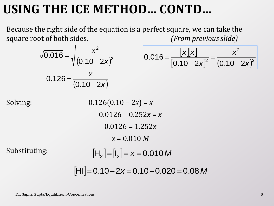### **USING THE ICE METHOD… CONTD…**

Because the right side of the equation is a perfect square, we can take the square root of both sides. *(From previous slide)*

$$
\sqrt{0.016} = \sqrt{\frac{x^2}{(0.10 - 2x)^2}}
$$

$$
0.126 = \frac{x}{(0.10 - 2x)}
$$

$$
0.016 = \frac{[x][x]}{[0.10 - 2x]^2} = \frac{x^2}{(0.10 - 2x)^2}
$$

Substituting:

Solving: 0.126(0.10 – 2*x*) = *x*  $0.0126 - 0.252x = x$ 0.0126 = 1.252*x x* = 0.010 *M*  $[H_2] = [I_2] = x = 0.010$  M

 $[HII] = 0.10 - 2x = 0.10 - 0.020 = 0.08$  *M*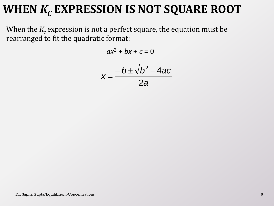#### **WHEN** *K<sup>C</sup>* **EXPRESSION IS NOT SQUARE ROOT**

When the  $K_c$  expression is not a perfect square, the equation must be rearranged to fit the quadratic format:

$$
ax^2 + bx + c = 0
$$

$$
x=\frac{-b\pm\sqrt{b^2-4ac}}{2a}
$$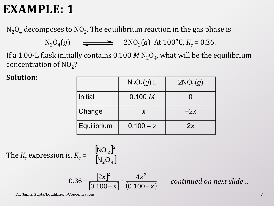#### **EXAMPLE: 1**

 $\rm N_2O_4$  decomposes to  $\rm NO_2$ . The equilibrium reaction in the gas phase is

 $N_2O_4(g)$   $\longrightarrow$   $2NO_2(g)$  At 100°C,  $K_c = 0.36$ .

If a 1.00-L flask initially contains  $0.100~M$  N<sub>2</sub>O<sub>4</sub>, what will be the equilibrium concentration of  $NO<sub>2</sub>$ ?

**Solution:** 

|                | $N_2O_4(g)$ | 2NO <sub>2</sub> (g) |
|----------------|-------------|----------------------|
| <b>Initial</b> | 0.100 M     |                      |
| Change         | $-X$        | $+2x$                |
| Equilibrium    | $0.100 - x$ | 2x                   |

The  $K_c$  expression is,  $K_c$  =  $NO<sub>2</sub>$  $N_2O_4$  $N, O$ NO

$$
0.36 = \frac{[2x]^2}{[0.100 - x]} = \frac{4x^2}{(0.100 - x)}
$$

2 2

*continued on next slide…*

Dr. Sapna Gupta/Equilibrium-Concentrations 7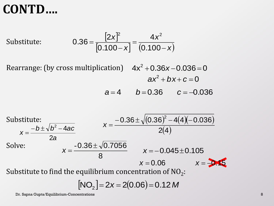#### **CONTD….**

Substitute:  $\begin{vmatrix} 0.100 - x \end{vmatrix}$   $(0.100 - x)$ *x x x* —  $=$  $\overline{\phantom{0}}$  $=$ 0.100 4 0.100 2 0.36 2  $\Lambda v^2$ 

Rearrange: (by cross multiplication)  $4x^2 + 0.36x - 0.036 = 0$  $\frac{|2x|^2}{|100 - x|} = \frac{4x^2}{(0.100 - x)}$ <br>
ation)  $4x^2 + 0.36x - 0.036 = 0$ <br>  $ax^2 + bx + c = 0$ <br>  $a = 4$   $b = 0.36$   $c = -0.036$  $ax^2 + bx + c = 0$ 

$$
a=4 \qquad b=0.36 \qquad c=-0.036
$$



$$
[NO2] = 2x = 2(0.06) = 0.12 M
$$

Dr. Sapna Gupta/Equilibrium-Concentrations 8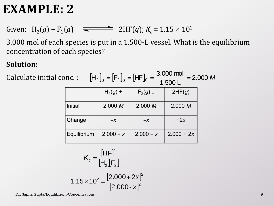#### **EXAMPLE: 2**

Given:  $H_2(g) + F_2(g)$   $\implies$  2HF(*g*);  $K_c = 1.15 \times 10^2$ 

3.000 mol of each species is put in a 1.500-L vessel. What is the equilibrium concentration of each species?

#### **Solution:**

Calculate initial conc. :

 $\left|H_2\right|_0 = \left|F_2\right|_0 = \left|HF_0\right|_0 = \frac{3.000 \text{ mJ}}{1.788 \text{ s}} = 2.000 \text{ M}$ 1.500 L  $[H_2]_0 = [F_2]_0 = [HF]_0 = \frac{3.000 \text{ mol}}{1.500 \text{ J}} =$ 

|             | $H_2(g)$ +  | $F_2(g)$    | 2HF(g)       |
|-------------|-------------|-------------|--------------|
| Initial     | 2.000 M     | 2.000 M     | 2.000 M      |
| Change      | $-X$        | $-X$        | $+2x$        |
| Equilibrium | $2.000 - x$ | $2.000 - x$ | $2.000 + 2x$ |

$$
K_c = \frac{\left[HF\right]^2}{\left[H_2\right]\left[F_2\right]}
$$

$$
1.15 \times 10^2 = \frac{[2.000 + 2x]^2}{[2.000 - x]^2}
$$

Dr. Sapna Gupta/Equilibrium-Concentrations 9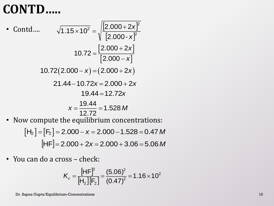### **CONTD…..**

• Contd….

Contd....

\n
$$
\sqrt{1.15 \times 10^{2}} = \sqrt{\frac{|2.000 + 2x|^{2}}{[2.000 - x]^{2}}}
$$
\n
$$
10.72 = \frac{|2.000 + 2x|}{[2.000 - x]}
$$
\n
$$
10.72(2.000 - x) = (2.000 + 2x)
$$
\n
$$
21.44 - 10.72x = 2.000 + 2x
$$
\n
$$
19.44 = 12.72x
$$
\n
$$
x = \frac{19.44}{12.72} = 1.528 M
$$
\nNow, we get the a equilibrium, we get

\n
$$
x = \frac{19.44}{12.72} = 1.528 M
$$

• Now compute the equilibrium concentrations:

*w* compute the equilibrium concentrations:  
\n[H<sub>2</sub>] = [F<sub>2</sub>] = 2.000 - 
$$
x
$$
 = 2.000 - 1.528 = 0.47 *M*  
\n[HF] = 2.000 + 2 $x$  = 2.000 + 3.06 = 5.06 *M*

• You can do a cross – check:

$$
K_c = \frac{\left[HF\right]^2}{\left[H_2\right]\left[F_2\right]} = \frac{(5.06)^2}{(0.47)^2} = 1.16 \times 10^2
$$

 $22$